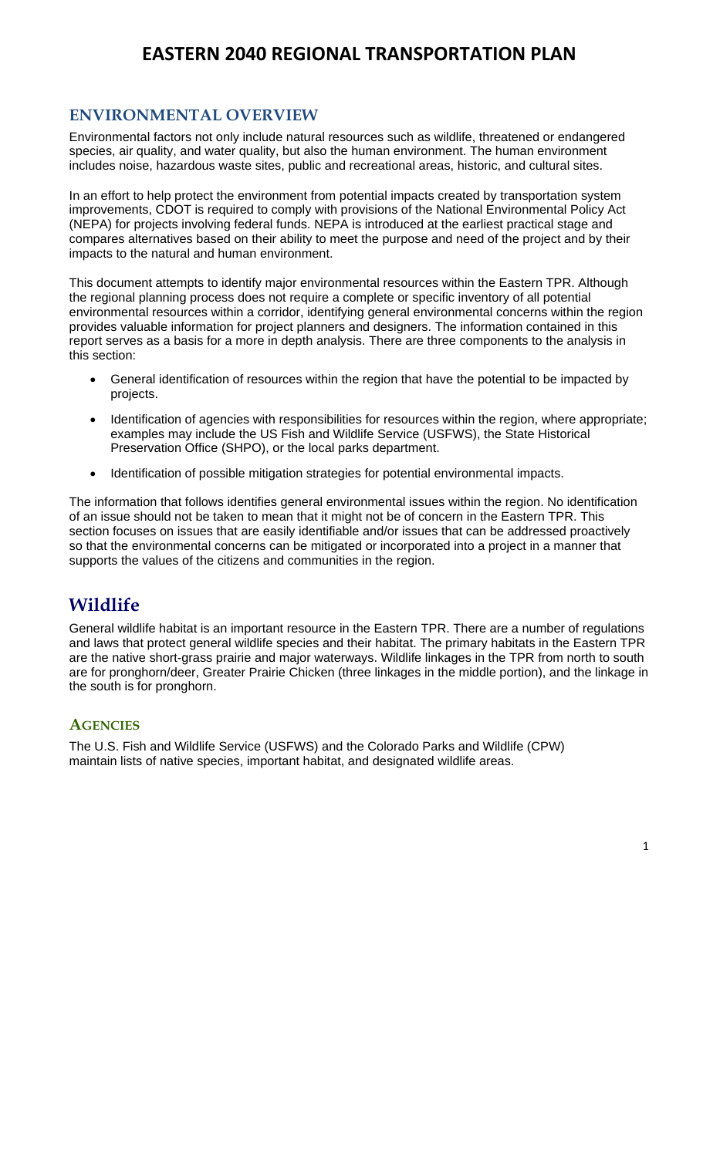### **ENVIRONMENTAL OVERVIEW**

Environmental factors not only include natural resources such as wildlife, threatened or endangered species, air quality, and water quality, but also the human environment. The human environment includes noise, hazardous waste sites, public and recreational areas, historic, and cultural sites.

In an effort to help protect the environment from potential impacts created by transportation system improvements, CDOT is required to comply with provisions of the National Environmental Policy Act (NEPA) for projects involving federal funds. NEPA is introduced at the earliest practical stage and compares alternatives based on their ability to meet the purpose and need of the project and by their impacts to the natural and human environment.

This document attempts to identify major environmental resources within the Eastern TPR. Although the regional planning process does not require a complete or specific inventory of all potential environmental resources within a corridor, identifying general environmental concerns within the region provides valuable information for project planners and designers. The information contained in this report serves as a basis for a more in depth analysis. There are three components to the analysis in this section:

- General identification of resources within the region that have the potential to be impacted by projects.
- Identification of agencies with responsibilities for resources within the region, where appropriate; examples may include the US Fish and Wildlife Service (USFWS), the State Historical Preservation Office (SHPO), or the local parks department.
- Identification of possible mitigation strategies for potential environmental impacts.

The information that follows identifies general environmental issues within the region. No identification of an issue should not be taken to mean that it might not be of concern in the Eastern TPR. This section focuses on issues that are easily identifiable and/or issues that can be addressed proactively so that the environmental concerns can be mitigated or incorporated into a project in a manner that supports the values of the citizens and communities in the region.

## **Wildlife**

General wildlife habitat is an important resource in the Eastern TPR. There are a number of regulations and laws that protect general wildlife species and their habitat. The primary habitats in the Eastern TPR are the native short-grass prairie and major waterways. Wildlife linkages in the TPR from north to south are for pronghorn/deer, Greater Prairie Chicken (three linkages in the middle portion), and the linkage in the south is for pronghorn.

### **AGENCIES**

The U.S. Fish and Wildlife Service (USFWS) and the Colorado Parks and Wildlife (CPW) maintain lists of native species, important habitat, and designated wildlife areas.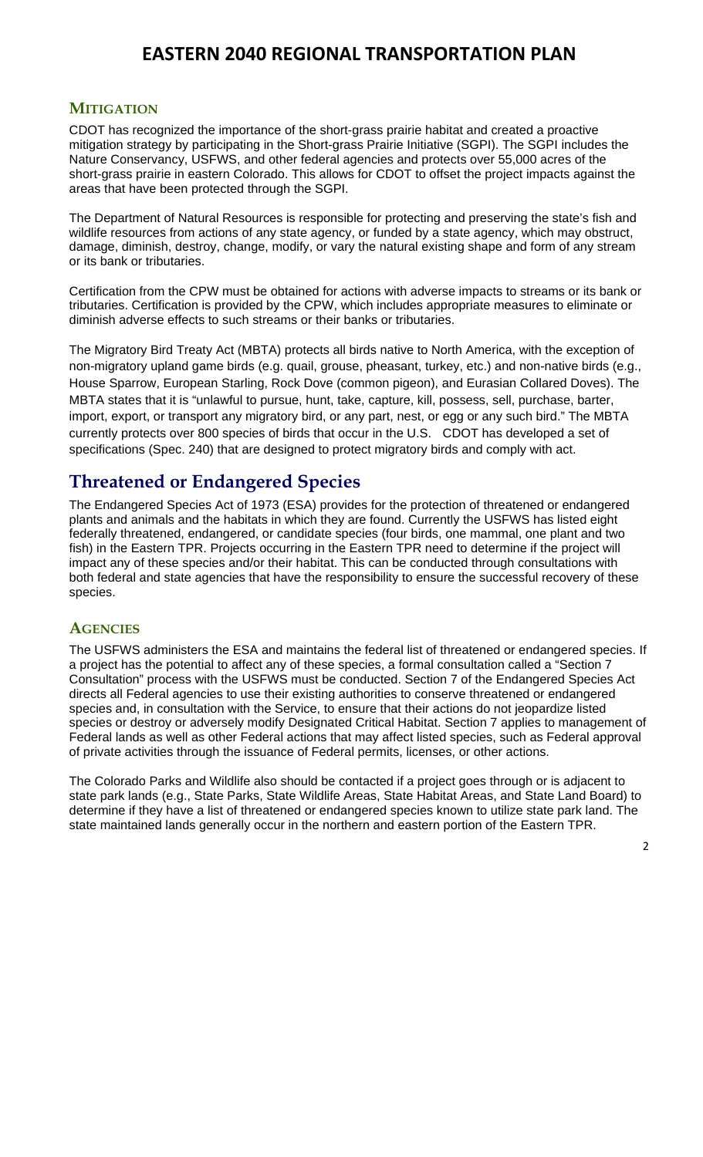### **MITIGATION**

CDOT has recognized the importance of the short-grass prairie habitat and created a proactive mitigation strategy by participating in the Short-grass Prairie Initiative (SGPI). The SGPI includes the Nature Conservancy, USFWS, and other federal agencies and protects over 55,000 acres of the short-grass prairie in eastern Colorado. This allows for CDOT to offset the project impacts against the areas that have been protected through the SGPI.

The Department of Natural Resources is responsible for protecting and preserving the state's fish and wildlife resources from actions of any state agency, or funded by a state agency, which may obstruct, damage, diminish, destroy, change, modify, or vary the natural existing shape and form of any stream or its bank or tributaries.

Certification from the CPW must be obtained for actions with adverse impacts to streams or its bank or tributaries. Certification is provided by the CPW, which includes appropriate measures to eliminate or diminish adverse effects to such streams or their banks or tributaries.

The Migratory Bird Treaty Act (MBTA) protects all birds native to North America, with the exception of non-migratory upland game birds (e.g. quail, grouse, pheasant, turkey, etc.) and non-native birds (e.g., House Sparrow, European Starling, Rock Dove (common pigeon), and Eurasian Collared Doves). The MBTA states that it is "unlawful to pursue, hunt, take, capture, kill, possess, sell, purchase, barter, import, export, or transport any migratory bird, or any part, nest, or egg or any such bird." The MBTA currently protects over 800 species of birds that occur in the U.S. CDOT has developed a set of specifications (Spec. 240) that are designed to protect migratory birds and comply with act.

## **Threatened or Endangered Species**

The Endangered Species Act of 1973 (ESA) provides for the protection of threatened or endangered plants and animals and the habitats in which they are found. Currently the USFWS has listed eight federally threatened, endangered, or candidate species (four birds, one mammal, one plant and two fish) in the Eastern TPR. Projects occurring in the Eastern TPR need to determine if the project will impact any of these species and/or their habitat. This can be conducted through consultations with both federal and state agencies that have the responsibility to ensure the successful recovery of these species.

### **AGENCIES**

The USFWS administers the ESA and maintains the federal list of threatened or endangered species. If a project has the potential to affect any of these species, a formal consultation called a "Section 7 Consultation" process with the USFWS must be conducted. Section 7 of the Endangered Species Act directs all Federal agencies to use their existing authorities to conserve threatened or endangered species and, in consultation with the Service, to ensure that their actions do not jeopardize listed species or destroy or adversely modify Designated Critical Habitat. Section 7 applies to management of Federal lands as well as other Federal actions that may affect listed species, such as Federal approval of private activities through the issuance of Federal permits, licenses, or other actions.

The Colorado Parks and Wildlife also should be contacted if a project goes through or is adjacent to state park lands (e.g., State Parks, State Wildlife Areas, State Habitat Areas, and State Land Board) to determine if they have a list of threatened or endangered species known to utilize state park land. The state maintained lands generally occur in the northern and eastern portion of the Eastern TPR.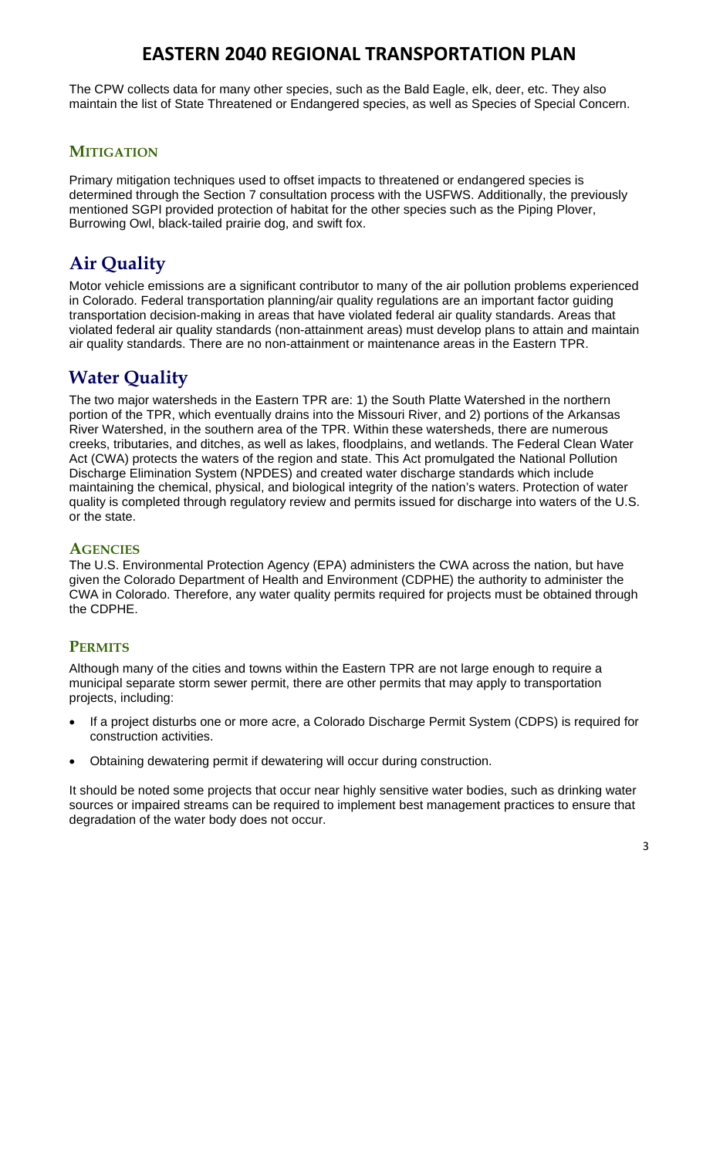The CPW collects data for many other species, such as the Bald Eagle, elk, deer, etc. They also maintain the list of State Threatened or Endangered species, as well as Species of Special Concern.

### **MITIGATION**

Primary mitigation techniques used to offset impacts to threatened or endangered species is determined through the Section 7 consultation process with the USFWS. Additionally, the previously mentioned SGPI provided protection of habitat for the other species such as the Piping Plover, Burrowing Owl, black-tailed prairie dog, and swift fox.

# **Air Quality**

Motor vehicle emissions are a significant contributor to many of the air pollution problems experienced in Colorado. Federal transportation planning/air quality regulations are an important factor guiding transportation decision-making in areas that have violated federal air quality standards. Areas that violated federal air quality standards (non-attainment areas) must develop plans to attain and maintain air quality standards. There are no non-attainment or maintenance areas in the Eastern TPR.

## **Water Quality**

The two major watersheds in the Eastern TPR are: 1) the South Platte Watershed in the northern portion of the TPR, which eventually drains into the Missouri River, and 2) portions of the Arkansas River Watershed, in the southern area of the TPR. Within these watersheds, there are numerous creeks, tributaries, and ditches, as well as lakes, floodplains, and wetlands. The Federal Clean Water Act (CWA) protects the waters of the region and state. This Act promulgated the National Pollution Discharge Elimination System (NPDES) and created water discharge standards which include maintaining the chemical, physical, and biological integrity of the nation's waters. Protection of water quality is completed through regulatory review and permits issued for discharge into waters of the U.S. or the state.

### **AGENCIES**

The U.S. Environmental Protection Agency (EPA) administers the CWA across the nation, but have given the Colorado Department of Health and Environment (CDPHE) the authority to administer the CWA in Colorado. Therefore, any water quality permits required for projects must be obtained through the CDPHE.

### **PERMITS**

Although many of the cities and towns within the Eastern TPR are not large enough to require a municipal separate storm sewer permit, there are other permits that may apply to transportation projects, including:

- If a project disturbs one or more acre, a Colorado Discharge Permit System (CDPS) is required for construction activities.
- Obtaining dewatering permit if dewatering will occur during construction.

It should be noted some projects that occur near highly sensitive water bodies, such as drinking water sources or impaired streams can be required to implement best management practices to ensure that degradation of the water body does not occur.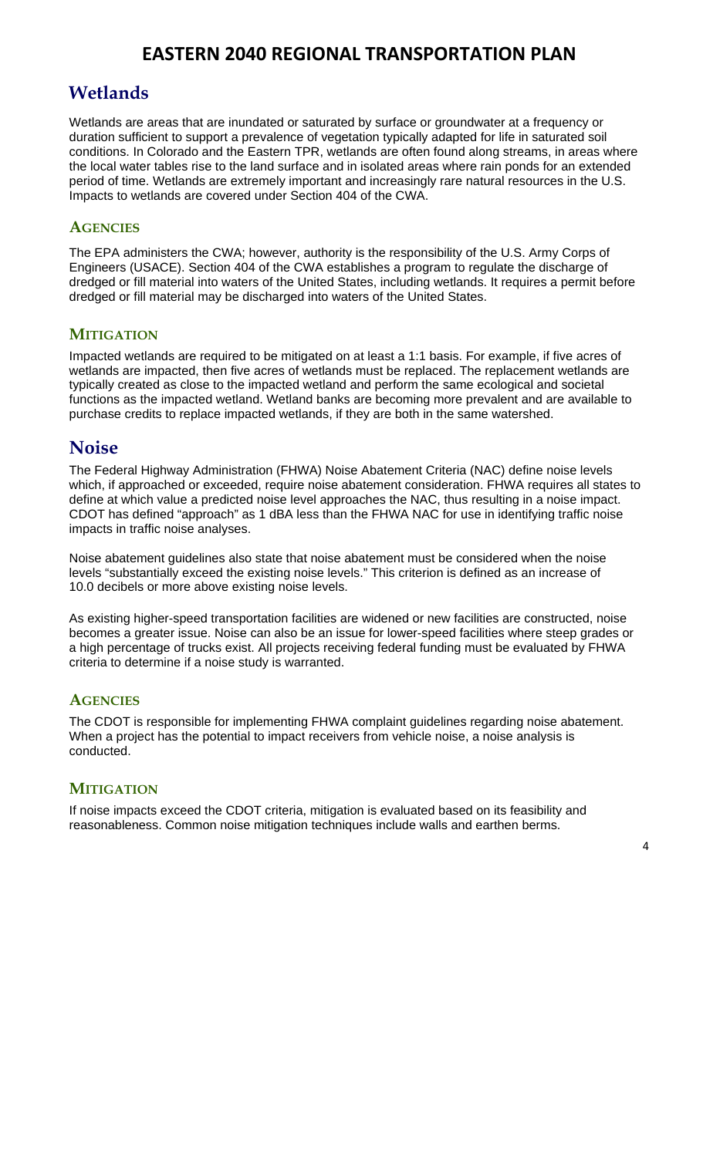## **Wetlands**

Wetlands are areas that are inundated or saturated by surface or groundwater at a frequency or duration sufficient to support a prevalence of vegetation typically adapted for life in saturated soil conditions. In Colorado and the Eastern TPR, wetlands are often found along streams, in areas where the local water tables rise to the land surface and in isolated areas where rain ponds for an extended period of time. Wetlands are extremely important and increasingly rare natural resources in the U.S. Impacts to wetlands are covered under Section 404 of the CWA.

### **AGENCIES**

The EPA administers the CWA; however, authority is the responsibility of the U.S. Army Corps of Engineers (USACE). Section 404 of the CWA establishes a program to regulate the discharge of dredged or fill material into waters of the United States, including wetlands. It requires a permit before dredged or fill material may be discharged into waters of the United States.

### **MITIGATION**

Impacted wetlands are required to be mitigated on at least a 1:1 basis. For example, if five acres of wetlands are impacted, then five acres of wetlands must be replaced. The replacement wetlands are typically created as close to the impacted wetland and perform the same ecological and societal functions as the impacted wetland. Wetland banks are becoming more prevalent and are available to purchase credits to replace impacted wetlands, if they are both in the same watershed.

## **Noise**

The Federal Highway Administration (FHWA) Noise Abatement Criteria (NAC) define noise levels which, if approached or exceeded, require noise abatement consideration. FHWA requires all states to define at which value a predicted noise level approaches the NAC, thus resulting in a noise impact. CDOT has defined "approach" as 1 dBA less than the FHWA NAC for use in identifying traffic noise impacts in traffic noise analyses.

Noise abatement guidelines also state that noise abatement must be considered when the noise levels "substantially exceed the existing noise levels." This criterion is defined as an increase of 10.0 decibels or more above existing noise levels.

As existing higher-speed transportation facilities are widened or new facilities are constructed, noise becomes a greater issue. Noise can also be an issue for lower-speed facilities where steep grades or a high percentage of trucks exist. All projects receiving federal funding must be evaluated by FHWA criteria to determine if a noise study is warranted.

### **AGENCIES**

The CDOT is responsible for implementing FHWA complaint guidelines regarding noise abatement. When a project has the potential to impact receivers from vehicle noise, a noise analysis is conducted.

### **MITIGATION**

If noise impacts exceed the CDOT criteria, mitigation is evaluated based on its feasibility and reasonableness. Common noise mitigation techniques include walls and earthen berms.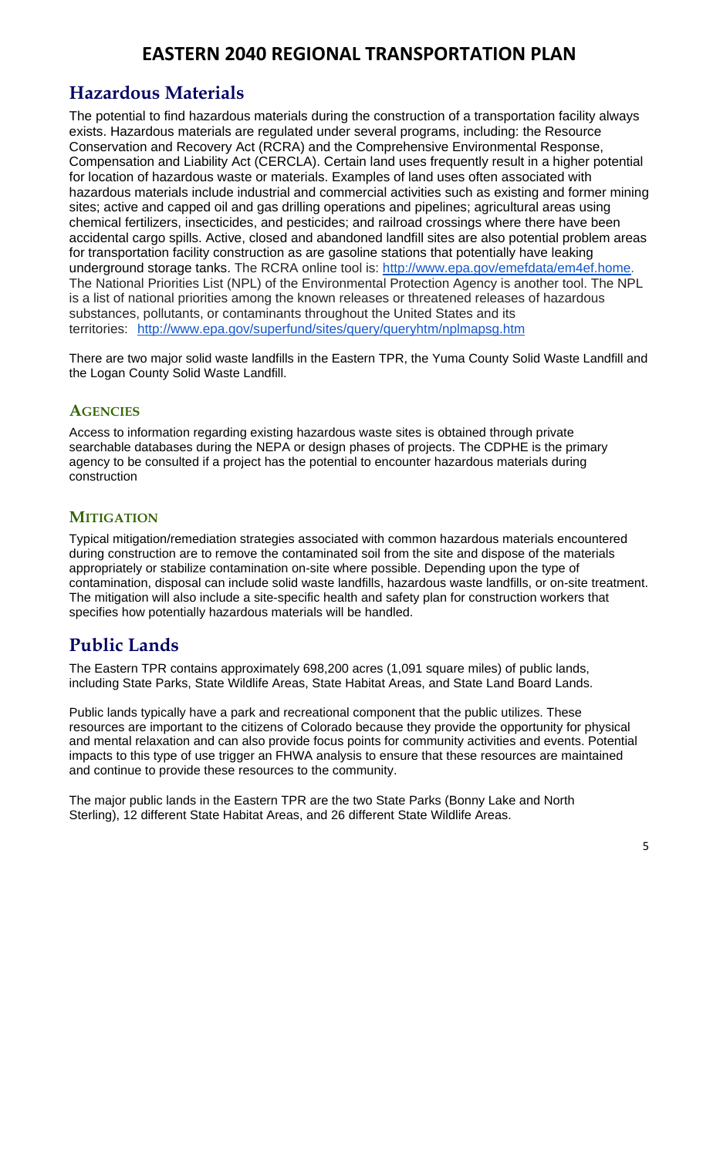## **Hazardous Materials**

The potential to find hazardous materials during the construction of a transportation facility always exists. Hazardous materials are regulated under several programs, including: the Resource Conservation and Recovery Act (RCRA) and the Comprehensive Environmental Response, Compensation and Liability Act (CERCLA). Certain land uses frequently result in a higher potential for location of hazardous waste or materials. Examples of land uses often associated with hazardous materials include industrial and commercial activities such as existing and former mining sites; active and capped oil and gas drilling operations and pipelines; agricultural areas using chemical fertilizers, insecticides, and pesticides; and railroad crossings where there have been accidental cargo spills. Active, closed and abandoned landfill sites are also potential problem areas for transportation facility construction as are gasoline stations that potentially have leaking underground storage tanks. The RCRA online tool is: http://www.epa.gov/emefdata/em4ef.home. The National Priorities List (NPL) of the Environmental Protection Agency is another tool. The NPL is a list of national priorities among the known releases or threatened releases of hazardous substances, pollutants, or contaminants throughout the United States and its territories: http://www.epa.gov/superfund/sites/query/queryhtm/nplmapsg.htm

There are two major solid waste landfills in the Eastern TPR, the Yuma County Solid Waste Landfill and the Logan County Solid Waste Landfill.

### **AGENCIES**

Access to information regarding existing hazardous waste sites is obtained through private searchable databases during the NEPA or design phases of projects. The CDPHE is the primary agency to be consulted if a project has the potential to encounter hazardous materials during construction

### **MITIGATION**

Typical mitigation/remediation strategies associated with common hazardous materials encountered during construction are to remove the contaminated soil from the site and dispose of the materials appropriately or stabilize contamination on-site where possible. Depending upon the type of contamination, disposal can include solid waste landfills, hazardous waste landfills, or on-site treatment. The mitigation will also include a site-specific health and safety plan for construction workers that specifies how potentially hazardous materials will be handled.

## **Public Lands**

The Eastern TPR contains approximately 698,200 acres (1,091 square miles) of public lands, including State Parks, State Wildlife Areas, State Habitat Areas, and State Land Board Lands.

Public lands typically have a park and recreational component that the public utilizes. These resources are important to the citizens of Colorado because they provide the opportunity for physical and mental relaxation and can also provide focus points for community activities and events. Potential impacts to this type of use trigger an FHWA analysis to ensure that these resources are maintained and continue to provide these resources to the community.

The major public lands in the Eastern TPR are the two State Parks (Bonny Lake and North Sterling), 12 different State Habitat Areas, and 26 different State Wildlife Areas.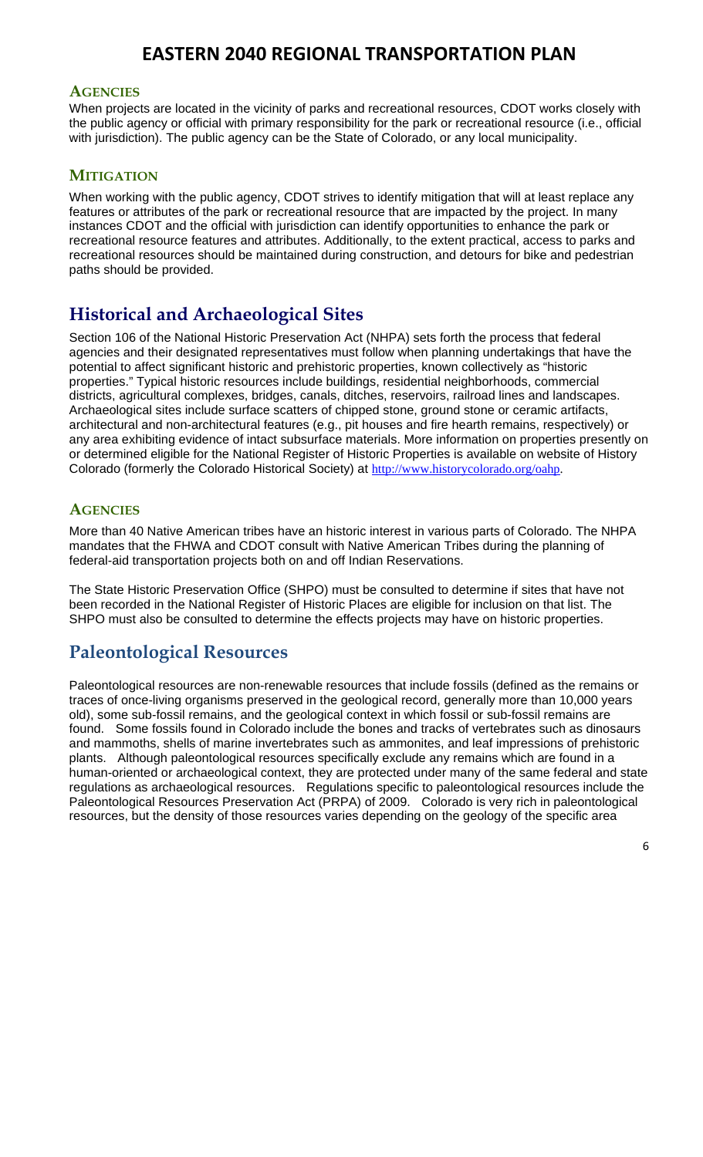#### **AGENCIES**

When projects are located in the vicinity of parks and recreational resources, CDOT works closely with the public agency or official with primary responsibility for the park or recreational resource (i.e., official with jurisdiction). The public agency can be the State of Colorado, or any local municipality.

#### **MITIGATION**

When working with the public agency, CDOT strives to identify mitigation that will at least replace any features or attributes of the park or recreational resource that are impacted by the project. In many instances CDOT and the official with jurisdiction can identify opportunities to enhance the park or recreational resource features and attributes. Additionally, to the extent practical, access to parks and recreational resources should be maintained during construction, and detours for bike and pedestrian paths should be provided.

## **Historical and Archaeological Sites**

Section 106 of the National Historic Preservation Act (NHPA) sets forth the process that federal agencies and their designated representatives must follow when planning undertakings that have the potential to affect significant historic and prehistoric properties, known collectively as "historic properties." Typical historic resources include buildings, residential neighborhoods, commercial districts, agricultural complexes, bridges, canals, ditches, reservoirs, railroad lines and landscapes. Archaeological sites include surface scatters of chipped stone, ground stone or ceramic artifacts, architectural and non-architectural features (e.g., pit houses and fire hearth remains, respectively) or any area exhibiting evidence of intact subsurface materials. More information on properties presently on or determined eligible for the National Register of Historic Properties is available on website of History Colorado (formerly the Colorado Historical Society) at http://www.historycolorado.org/oahp.

### **AGENCIES**

More than 40 Native American tribes have an historic interest in various parts of Colorado. The NHPA mandates that the FHWA and CDOT consult with Native American Tribes during the planning of federal-aid transportation projects both on and off Indian Reservations.

The State Historic Preservation Office (SHPO) must be consulted to determine if sites that have not been recorded in the National Register of Historic Places are eligible for inclusion on that list. The SHPO must also be consulted to determine the effects projects may have on historic properties.

## **Paleontological Resources**

Paleontological resources are non-renewable resources that include fossils (defined as the remains or traces of once-living organisms preserved in the geological record, generally more than 10,000 years old), some sub-fossil remains, and the geological context in which fossil or sub-fossil remains are found. Some fossils found in Colorado include the bones and tracks of vertebrates such as dinosaurs and mammoths, shells of marine invertebrates such as ammonites, and leaf impressions of prehistoric plants. Although paleontological resources specifically exclude any remains which are found in a human-oriented or archaeological context, they are protected under many of the same federal and state regulations as archaeological resources. Regulations specific to paleontological resources include the Paleontological Resources Preservation Act (PRPA) of 2009. Colorado is very rich in paleontological resources, but the density of those resources varies depending on the geology of the specific area